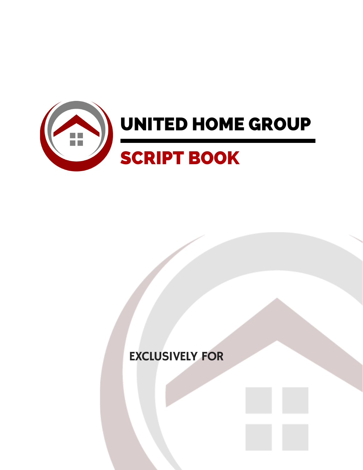

# EXCLUSIVELY FOR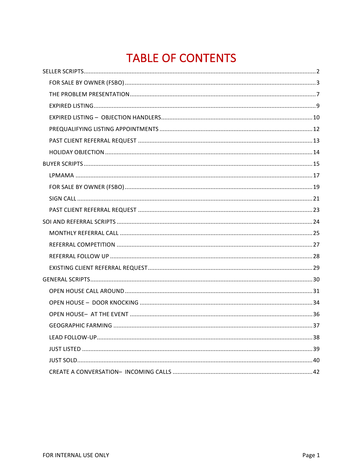# **TABLE OF CONTENTS**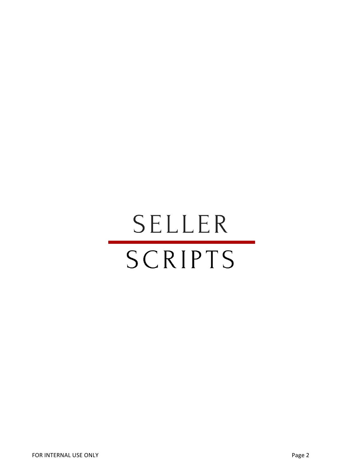# SELLER SCRIPTS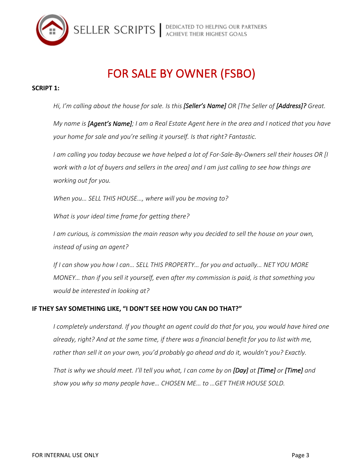

# FOR SALE BY OWNER (FSBO)

#### **SCRIPT 1:**

Hi, I'm calling about the house for sale. Is this [Seller's Name] OR [The Seller of [Address]? Great.

*My* name is [Agent's Name]; I am a Real Estate Agent here in the area and I noticed that you have your home for sale and you're selling it yourself. Is that right? Fantastic.

*I* am calling you today because we have helped a lot of For-Sale-By-Owners sell their houses OR [I] *work* with a lot of buyers and sellers in the area] and I am just calling to see how things are *working out for you.*

*When you...* SELL THIS HOUSE..., where will you be moving to?

*What is your ideal time frame for getting there?* 

*I* am curious, is commission the main reason why you decided to sell the house on your own, *instead of using an agent?*

*If* I can show you how I can... SELL THIS PROPERTY... for you and actually... NET YOU MORE *MONEY...* than if you sell it yourself, even after my commission is paid, is that something you *would* be interested in looking at?

#### **IF THEY SAY SOMETHING LIKE, "I DON'T SEE HOW YOU CAN DO THAT?"**

*I* completely understand. If you thought an agent could do that for you, you would have hired one already, right? And at the same time, if there was a financial benefit for you to list with me, rather than sell it on your own, you'd probably go ahead and do it, wouldn't you? Exactly.

*That is why we should meet. I'll tell you what, I can come by on [Day] at [Time] or [Time] and show you why so many people have… CHOSEN ME… to …GET THEIR HOUSE SOLD.*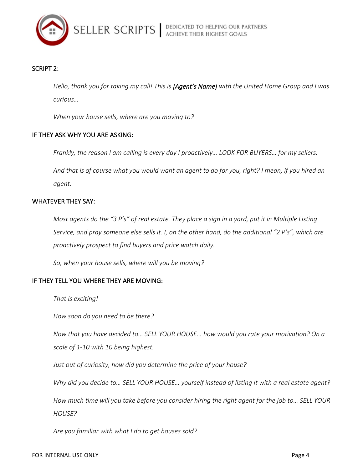

## SCRIPT 2:

Hello, thank you for taking my call! This is [Agent's Name] with the United Home Group and I was *curious…*

When your house sells, where are you moving to?

#### IF THEY ASK WHY YOU ARE ASKING:

*Frankly, the reason I am calling is every day I proactively... LOOK FOR BUYERS... for my sellers.* 

And that is of course what you would want an agent to do for you, right? I mean, if you hired an *agent.*

#### WHATEVER THEY SAY:

*Most agents do the "3 P's" of real estate. They place a sign in a yard, put it in Multiple Listing* Service, and pray someone else sells it. I, on the other hand, do the additional "2 P's", which are *proactively prospect to find buyers and price watch daily.*

So, when your house sells, where will you be moving?

#### IF THEY TELL YOU WHERE THEY ARE MOVING:

That is exciting!

*How soon do you need to be there?*

*Now that you have decided to... SELL YOUR HOUSE... how would you rate your motivation? On a scale of 1-10 with 10 being highest.*

Just out of curiosity, how did you determine the price of your house?

Why did you decide to... SELL YOUR HOUSE... yourself instead of listing it with a real estate agent?

How much time will you take before you consider hiring the right agent for the job to... SELL YOUR *HOUSE?*

Are you familiar with what I do to get houses sold?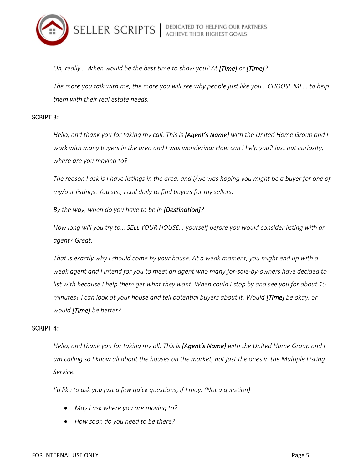

*Oh, really...* When would be the best time to show you? At [Time] or [Time]?

The more you talk with me, the more you will see why people just like you… CHOOSE ME... to help *them with their real estate needs.*

#### SCRIPT 3:

*Hello, and thank you for taking my call. This is [Agent's Name] with the United Home Group and I work* with many buyers in the area and I was wondering: How can I help you? Just out curiosity, *where are you moving to?* 

*The reason I* ask is I have listings in the area, and I/we was hoping you might be a buyer for one of *my/our listings. You see, I call daily to find buyers for my sellers.* 

By the way, when do you have to be in [Destination]?

How long will you try to... SELL YOUR HOUSE... yourself before you would consider listing with an *agent? Great.*

That is exactly why I should come by your house. At a weak moment, you might end up with a weak agent and I intend for you to meet an agent who many for-sale-by-owners have decided to *list* with because I help them get what they want. When could I stop by and see you for about 15 minutes? I can look at your house and tell potential buyers about it. Would [Time] be okay, or *would* [Time] be better?

#### SCRIPT 4:

Hello, and thank you for taking my all. This is [Agent's Name] with the United Home Group and I am calling so I know all about the houses on the market, not just the ones in the Multiple Listing *Service.*

*I'd like to ask you just a few quick questions, if I may. (Not a question)* 

- May I ask where you are moving to?
- How soon do you need to be there?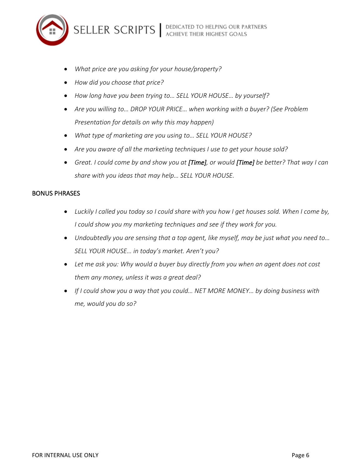

- *What price are you asking for your house/property?*
- *How did you choose that price?*
- How long have you been trying to... SELL YOUR HOUSE... by yourself?
- Are you willing to... DROP YOUR PRICE... when working with a buyer? (See Problem *Presentation for details on why this may happen)*
- What type of marketing are you using to... SELL YOUR HOUSE?
- Are you aware of all the marketing techniques I use to get your house sold?
- Great. I could come by and show you at [Time], or would [Time] be better? That way I can share with you ideas that may help... SELL YOUR HOUSE.

#### **BONUS PHRASES**

- Luckily I called you today so I could share with you how I get houses sold. When I come by, *I* could show you my marketing techniques and see if they work for you.
- Undoubtedly you are sensing that a top agent, like myself, may be just what you need to... SELL YOUR HOUSE... in today's market. Aren't you?
- Let me ask you: Why would a buyer buy directly from you when an agent does not cost them any money, unless it was a great deal?
- If I could show you a way that you could... NET MORE MONEY... by doing business with *me, would you do so?*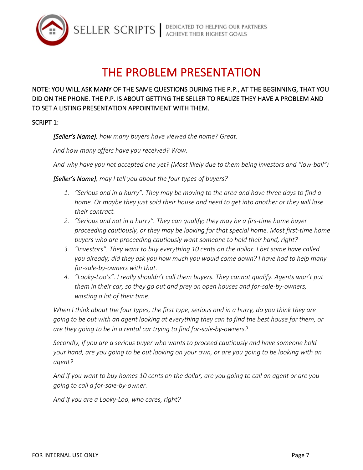

SELLER SCRIPTS | DEDICATED TO HELPING OUR PARTNERS

# THE PROBLEM PRESENTATION

# NOTE: YOU WILL ASK MANY OF THE SAME QUESTIONS DURING THE P.P., AT THE BEGINNING, THAT YOU DID ON THE PHONE. THE P.P. IS ABOUT GETTING THE SELLER TO REALIZE THEY HAVE A PROBLEM AND TO SET A LISTING PRESENTATION APPOINTMENT WITH THEM.

SCRIPT 1:

[Seller's Name], how many buyers have viewed the home? Great.

And how many offers have you received? Wow.

And why have you not accepted one yet? (Most likely due to them being investors and "low-ball")

**[Seller's Name]**, may I tell you about the four types of buyers?

- 1. "Serious and in a hurry". They may be moving to the area and have three days to find a *home.* Or maybe they just sold their house and need to get into another or they will lose *their contract.*
- 2. *"Serious* and not in a hurry". They can qualify; they may be a firs-time home buyer proceeding cautiously, or they may be looking for that special home. Most first-time home *buyers* who are proceeding cautiously want someone to hold their hand, right?
- 3. *"Investors".* They want to buy everything 10 cents on the dollar. I bet some have called *you* already; did they ask you how much you would come down? I have had to help many for-sale-by-owners with that.
- 4. "Looky-Loo's". I really shouldn't call them buyers. They cannot qualify. Agents won't put *them* in their car, so they go out and prey on open houses and for-sale-by-owners, *wasting a lot of their time.*

*When I think about the four types, the first type, serious and in a hurry, do you think they are* going to be out with an agent looking at everything they can to find the best house for them, or are they going to be in a rental car trying to find for-sale-by-owners?

Secondly, if you are a serious buyer who wants to proceed cautiously and have someone hold your hand, are you going to be out looking on your own, or are you going to be looking with an *agent?*

And if you want to buy homes 10 cents on the dollar, are you going to call an agent or are you *going to call a for-sale-by-owner.* 

And if you are a Looky-Loo, who cares, right?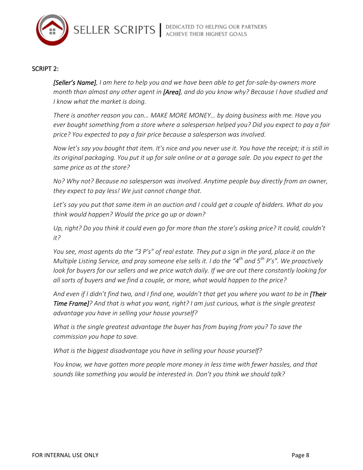

#### SCRIPT 2:

**[Seller's Name]**, I am here to help you and we have been able to get for-sale-by-owners more *month* than almost any other agent in [Area], and do you know why? Because I have studied and *I* know what the market is doing.

There is another reason you can... MAKE MORE MONEY... by doing business with me. Have you ever bought something from a store where a salesperson helped you? Did you expect to pay a fair price? You expected to pay a fair price because a salesperson was involved.

*Now let's* say you bought that item. It's nice and you never use it. You have the receipt; it is still in *its* original packaging. You put it up for sale online or at a garage sale. Do you expect to get the same price as at the store?

*No?* Why not? Because no salesperson was involved. Anytime people buy directly from an owner, *they expect to pay less! We just cannot change that.* 

Let's say you put that same item in an auction and I could get a couple of bidders. What do you *think would happen? Would the price go up or down?*

Up, right? Do you think it could even go for more than the store's asking price? It could, couldn't *it?*

*You see, most agents do the "3 P's" of real estate. They put a sign in the yard, place it on the Multiple Listing Service, and pray someone else sells it. I do the "4<sup>th</sup> and 5<sup>th</sup> P's". We proactively look for buyers for our sellers and we price watch daily. If we are out there constantly looking for* all sorts of buyers and we find a couple, or more, what would happen to the price?

And even if I didn't find two, and I find one, wouldn't that get you where you want to be in **[Their Time Frame]**? And that is what you want, right? I am just curious, what is the single greatest *advantage you have in selling your house yourself?* 

*What is the single greatest advantage the buyer has from buying from you? To save the commission you hope to save.*

*What is the biggest disadvantage you have in selling your house yourself?* 

You know, we have gotten more people more money in less time with fewer hassles, and that sounds like something you would be interested in. Don't you think we should talk?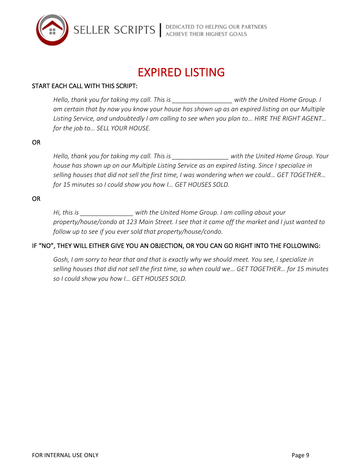

SELLER SCRIPTS | DEDICATED TO HELPING OUR PARTNERS

# EXPIRED LISTING

## START EACH CALL WITH THIS SCRIPT:

*Hello,* thank you for taking my call. This is **the summan is a set of the United Home Group.** I am certain that by now you know your house has shown up as an expired listing on our Multiple Listing Service, and undoubtedly I am calling to see when you plan to... HIRE THE RIGHT AGENT... *for the job to... SELL YOUR HOUSE.* 

#### OR

*Hello,* thank you for taking my call. This is with the United Home Group. Your house has shown up on our Multiple Listing Service as an expired listing. Since I specialize in selling houses that did not sell the first time, I was wondering when we could... GET TOGETHER... *for* 15 minutes so I could show you how I... GET HOUSES SOLD.

#### OR

*Hi,* this is *with the United Home Group.* I am calling about your property/house/condo at 123 Main Street. I see that it came off the market and I just wanted to *follow up to see if you ever sold that property/house/condo.* 

#### IF "NO", THEY WILL EITHER GIVE YOU AN OBJECTION, OR YOU CAN GO RIGHT INTO THE FOLLOWING:

Gosh, I am sorry to hear that and that is exactly why we should meet. You see, I specialize in selling houses that did not sell the first time, so when could we... GET TOGETHER... for 15 minutes *so I could show you how I… GET HOUSES SOLD.*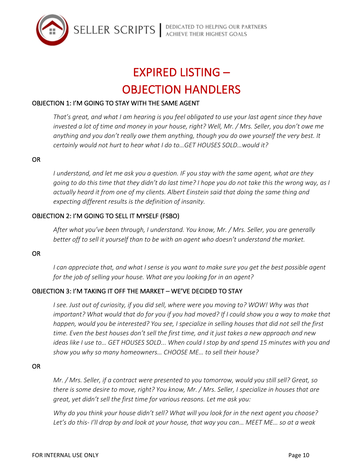

# **EXPIRED LISTING – OBJECTION HANDLERS**

# OBJECTION 1: I'M GOING TO STAY WITH THE SAME AGENT

*That's great, and what I am hearing is you feel obligated to use your last agent since they have* invested a lot of time and money in your house, right? Well, Mr. / Mrs. Seller, you don't owe me anything and you don't really owe them anything, though you do owe yourself the very best. It *certainly would not hurt to hear what I do to...GET HOUSES SOLD...would it?* 

#### OR

*I* understand, and let me ask you a question. IF you stay with the same agent, what are they going to do this time that they didn't do last time? I hope you do not take this the wrong way, as I actually heard it from one of my clients. Albert Einstein said that doing the same thing and expecting different results is the definition of insanity.

## OBJECTION 2: I'M GOING TO SELL IT MYSELF (FSBO)

After what you've been through, I understand. You know, Mr. / Mrs. Seller, you are generally better off to sell it yourself than to be with an agent who doesn't understand the market.

#### OR

*I* can appreciate that, and what I sense is you want to make sure you get the best possible agent *for the job of selling your house. What are you looking for in an agent?* 

## OBJECTION 3: I'M TAKING IT OFF THE MARKET - WE'VE DECIDED TO STAY

*I* see. Just out of curiosity, if you did sell, where were you moving to? WOW! Why was that *important?* What would that do for you if you had moved? If I could show you a way to make that happen, would you be interested? You see, I specialize in selling houses that did not sell the first *time.* Even the best houses don't sell the first time, and it just takes a new approach and new *ideas like I use to... GET HOUSES SOLD... When could I stop by and spend 15 minutes with you and* show you why so many homeowners... CHOOSE ME... to sell their house?

#### OR

*Mr.* / Mrs. Seller, if a contract were presented to you tomorrow, would you still sell? Great, so *there is some desire to move, right? You know, Mr. / Mrs. Seller, I specialize in houses that are great, yet didn't sell the first time for various reasons. Let me ask you:* 

*Why do you think your house didn't sell? What will you look for in the next agent you choose?* Let's do this- I'll drop by and look at your house, that way you can... MEET ME... so at a weak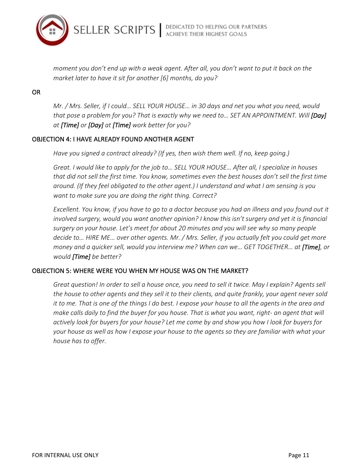

*moment you don't end up with a weak agent. After all, you don't want to put it back on the market later to have it sit for another* [6] months, do you?

OR 

*Mr.* / Mrs. Seller, if I could... SELL YOUR HOUSE... in 30 days and net you what you need, would *that pose a problem for you? That is exactly why we need to... SET AN APPOINTMENT. Will [Day] at [Time] or [Day] at [Time] work better for you?*

### OBJECTION 4: I HAVE ALREADY FOUND ANOTHER AGENT

Have you signed a contract already? (If yes, then wish them well. If no, keep going.)

Great. I would like to apply for the job to... SELL YOUR HOUSE... After all, I specialize in houses that did not sell the first time. You know, sometimes even the best houses don't sell the first time around. (If they feel obligated to the other agent.) I understand and what I am sensing is you *want to make sure you are doing the right thing. Correct?* 

*Excellent. You know, if you have to go to a doctor because you had an illness and you found out it involved* surgery, would you want another opinion? I know this isn't surgery and yet it is financial surgery on your house. Let's meet for about 20 minutes and you will see why so many people *decide to...* HIRE ME... over other agents. Mr. / Mrs. Seller, if you actually felt you could get more *money* and a quicker sell, would you interview me? When can we... GET TOGETHER... at [Time], or *would* [Time] be better?

## OBJECTION 5: WHERE WERE YOU WHEN MY HOUSE WAS ON THE MARKET?

*Great question! In order to sell a house once, you need to sell it twice. May I explain? Agents sell* the house to other agents and they sell it to their clients, and quite frankly, your agent never sold *it* to me. That is one of the things I do best. I expose your house to all the agents in the area and *make calls daily to find the buyer for you house. That is what you want, right- an agent that will actively look for buyers for your house? Let me come by and show you how I look for buyers for your house as well as how I expose your house to the agents so they are familiar with what your house has to offer.*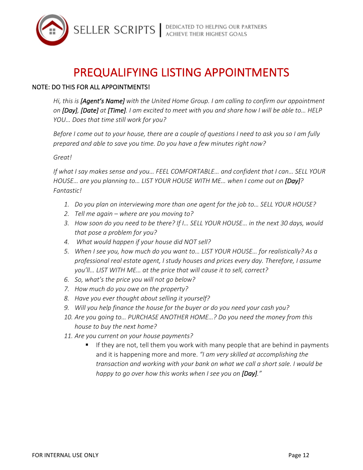

# PREQUALIFYING LISTING APPOINTMENTS

# NOTE: DO THIS FOR ALL APPOINTMENTS!

Hi, this is [Agent's Name] with the United Home Group. I am calling to confirm our appointment *on* [Day], [Date] at [Time]. I am excited to meet with you and share how I will be able to... HELP *YOU...* Does that time still work for you?

*Before I come out to your house, there are a couple of questions I need to ask you so I am fully* prepared and able to save you time. Do you have a few minutes right now?

### *Great!*

If what I say makes sense and you... FEEL COMFORTABLE... and confident that I can... SELL YOUR *HOUSE…* are you planning to… LIST YOUR HOUSE WITH ME… when I come out on [Day]? *Fantastic!*

- 1. *Do you plan on interviewing more than one agent for the job to... SELL YOUR HOUSE?*
- 2. Tell me again where are you moving to?
- 3. How soon do you need to be there? If I... SELL YOUR HOUSE... in the next 30 days, would that pose a problem for you?
- 4. What would happen if your house did NOT sell?
- 5. When I see you, how much do you want to... LIST YOUR HOUSE... for realistically? As a professional real estate agent, I study houses and prices every day. Therefore, I assume *you'll...* LIST WITH ME... at the price that will cause it to sell, correct?
- *6. So, what's the price you will not go below?*
- *7. How much do you owe on the property?*
- *8. Have you ever thought about selling it yourself?*
- 9. Will you help finance the house for the buyer or do you need your cash you?
- 10. Are you going to... PURCHASE ANOTHER HOME...? Do you need the money from this *house to buy the next home?*
- 11. Are you current on your house payments?
	- If they are not, tell them you work with many people that are behind in payments and it is happening more and more. *"I am very skilled at accomplishing the transaction and working with your bank on what we call a short sale. I would be* happy to go over how this works when I see you on [Day]."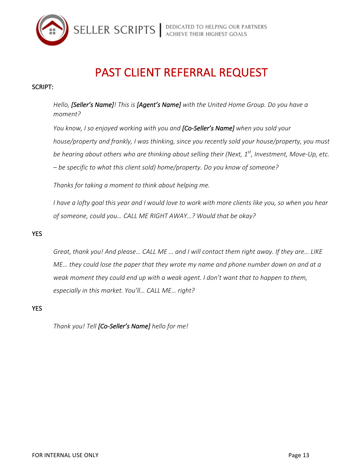

# SELLER SCRIPTS | DEDICATED TO HELPING OUR PARTNERS

# PAST CLIENT REFERRAL REQUEST

# SCRIPT:

*Hello*, *[Seller's Name]!* This is *[Agent's Name]* with the United Home Group. Do you have a *moment?* 

*You know, I so enjoyed working with you and [Co-Seller's Name] when you sold your house/property and frankly, I* was thinking, since you recently sold your house/property, you must *be hearing about others who are thinking about selling their (Next, 1<sup>st</sup>, Investment, Move-Up, etc.*  $-$  *be specific to what this client sold)* home/property. Do you know of someone?

Thanks for taking a moment to think about helping me.

*I* have a lofty goal this year and I would love to work with more clients like you, so when you hear of someone, could you... CALL ME RIGHT AWAY...? Would that be okay?

# YES

Great, thank you! And please... CALL ME ... and I will contact them right away. If they are... LIKE *ME...* they could lose the paper that they wrote my name and phone number down on and at a *weak moment they could end up with a weak agent. I don't want that to happen to them,* especially in this market. You'll... CALL ME... right?

YES

*Thank you! Tell [Co-Seller's Name] hello for me!*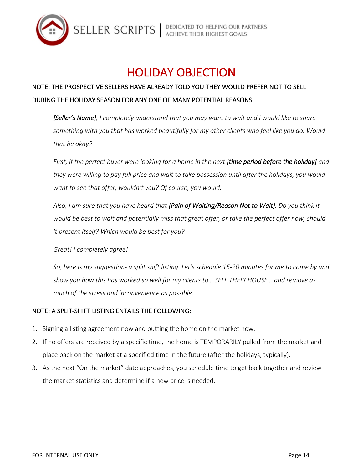

# HOLIDAY OBJECTION

# NOTE: THE PROSPECTIVE SELLERS HAVE ALREADY TOLD YOU THEY WOULD PREFER NOT TO SELL DURING THE HOLIDAY SEASON FOR ANY ONE OF MANY POTENTIAL REASONS.

**[Seller's Name]**, I completely understand that you may want to wait and I would like to share something with you that has worked beautifully for my other clients who feel like you do. Would that be okay?

*First,* if the perfect buyer were looking for a home in the next **[time period before the holiday]** and they were willing to pay full price and wait to take possession until after the holidays, you would want to see that offer, wouldn't you? Of course, you would.

Also, I am sure that you have heard that [Pain of Waiting/Reason Not to Wait]. Do you think it would be best to wait and potentially miss that great offer, or take the perfect offer now, should *it present itself? Which would be best for you?* 

*Great! I completely agree!*

So, here is my suggestion- a split shift listing. Let's schedule 15-20 minutes for me to come by and show you how this has worked so well for my clients to... SELL THEIR HOUSE... and remove as much of the stress and inconvenience as possible.

# NOTE: A SPLIT-SHIFT LISTING ENTAILS THE FOLLOWING:

- 1. Signing a listing agreement now and putting the home on the market now.
- 2. If no offers are received by a specific time, the home is TEMPORARILY pulled from the market and place back on the market at a specified time in the future (after the holidays, typically).
- 3. As the next "On the market" date approaches, you schedule time to get back together and review the market statistics and determine if a new price is needed.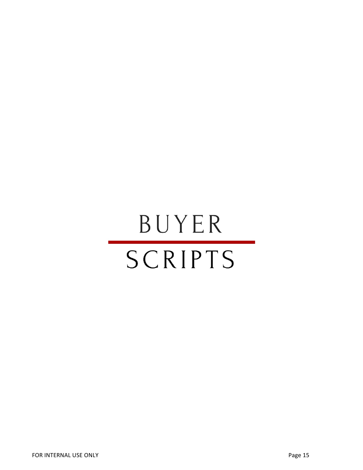# BUYER SCRIPTS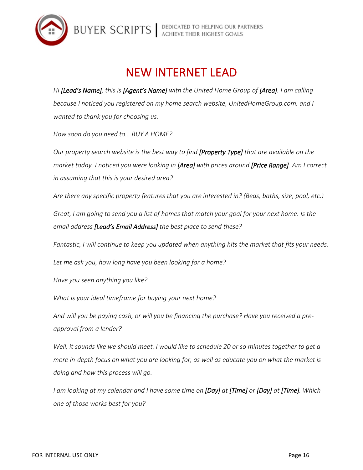

# **NEW INTERNET LEAD**

*Hi* **[Lead's Name]**, this is **[Agent's Name]** with the United Home Group of **[Area]**. I am calling *because I* noticed you registered on my home search website, UnitedHomeGroup.com, and I *wanted to thank you for choosing us.* 

*How soon do you need to… BUY A HOME?*

*Our* property search website is the best way to find **[Property Type]** that are available on the *market today.* I noticed you were looking in [Area] with prices around [Price Range]. Am I correct *in assuming that this is your desired area?*

*Are there any specific property features that you are interested in? (Beds, baths, size, pool, etc.)* 

*Great, I am going to send you a list of homes that match your goal for your next home. Is the* email address [Lead's Email Address] the best place to send these?

Fantastic, I will continue to keep you updated when anything hits the market that fits your needs.

Let me ask you, how long have you been looking for a home?

*Have you seen anything you like?*

What is your ideal timeframe for buying your next home?

And will you be paying cash, or will you be financing the purchase? Have you received a pre*approval from a lender?*

*Well, it sounds like we should meet. I would like to schedule 20 or so minutes together to get a more in-depth focus on what you are looking for, as well as educate you on what the market is doing and how this process will go.* 

*I* am looking at my calendar and I have some time on [Day] at [Time] or [Day] at [Time]. Which *one of those works best for you?*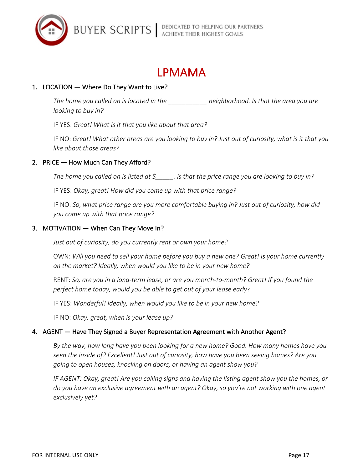



# 1. LOCATION — Where Do They Want to Live?

The home you called on is located in the **the endemonity** neighborhood. Is that the area you are *looking to buy in?* 

IF YES: Great! What is it that you like about that area?

IF NO: *Great!* What other areas are you looking to buy in? Just out of curiosity, what is it that you *like about those areas?* 

## 2. PRICE  $-$  How Much Can They Afford?

The home you called on is listed at  $\zeta$  \_\_\_\_\_. Is that the price range you are looking to buy in?

IF YES: Okay, great! How did you come up with that price range?

IF NO: So, what price range are you more comfortable buying in? Just out of curiosity, how did *you come up with that price range?*

### 3. MOTIVATION — When Can They Move In?

Just out of curiosity, do you currently rent or own your home?

OWN: Will you need to sell your home before you buy a new one? Great! Is your home currently on the market? Ideally, when would you like to be in your new home?

RENT: So, are you in a long-term lease, or are you month-to-month? Great! If you found the perfect home today, would you be able to get out of your lease early?

IF YES: Wonderful! Ideally, when would you like to be in your new home?

IF NO: Okay, great, when is your lease up?

## 4. AGENT — Have They Signed a Buyer Representation Agreement with Another Agent?

By the way, how long have you been looking for a new home? Good. How many homes have you seen the inside of? Excellent! Just out of curiosity, how have you been seeing homes? Are you going to open houses, knocking on doors, or having an agent show you?

*IF* AGENT: Okay, great! Are you calling signs and having the listing agent show you the homes, or do you have an exclusive agreement with an agent? Okay, so you're not working with one agent *exclusively yet?*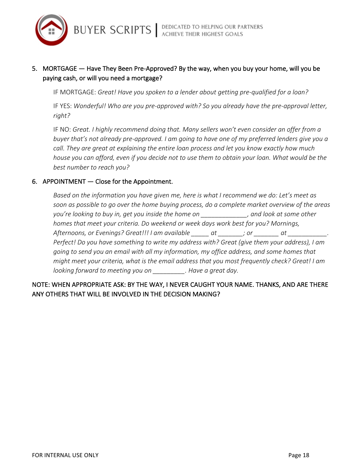

# 5. MORTGAGE — Have They Been Pre-Approved? By the way, when you buy your home, will you be paying cash, or will you need a mortgage?

IF MORTGAGE: *Great! Have you spoken to a lender about getting pre-qualified for a loan?* 

IF YES: Wonderful! Who are you pre-approved with? So you already have the pre-approval letter, *right?*

IF NO: Great. I highly recommend doing that. Many sellers won't even consider an offer from a buyer that's not already pre-approved. I am going to have one of my preferred lenders give you a *call.* They are great at explaining the entire loan process and let you know exactly how much *house you can afford, even if you decide not to use them to obtain your loan. What would be the* best number to reach you?

## 6. APPOINTMENT  $-$  Close for the Appointment.

Based on the information you have given me, here is what I recommend we do: Let's meet as soon as possible to go over the home buying process, do a complete market overview of the areas *you're looking to buy in, get you inside the home on* \_\_\_\_\_\_\_\_\_\_\_, and look at some other homes that meet your criteria. Do weekend or week days work best for you? Mornings, Afternoons, or Evenings? Great!!! I am available \_\_\_\_\_\_ at \_\_\_\_\_\_\_; or \_\_\_\_\_\_\_\_ at \_\_\_\_\_\_\_\_\_\_\_. *Perfect!* Do you have something to write my address with? Great (give them your address), I am *going* to send you an email with all my information, my office address, and some homes that *might meet your criteria, what is the email address that you most frequently check? Great! I am looking* forward to meeting you on \_\_\_\_\_\_\_\_\_\_. Have a great day.

# NOTE: WHEN APPROPRIATE ASK: BY THE WAY, I NEVER CAUGHT YOUR NAME. THANKS, AND ARE THERE ANY OTHERS THAT WILL BE INVOLVED IN THE DECISION MAKING?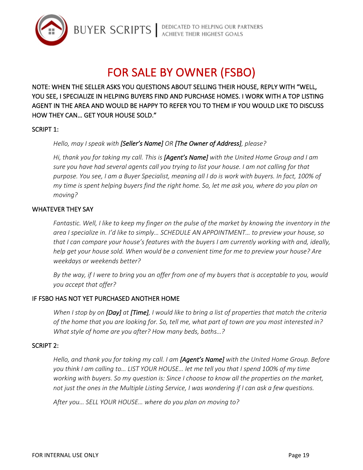

# FOR SALE BY OWNER (FSBO)

NOTE: WHEN THE SELLER ASKS YOU QUESTIONS ABOUT SELLING THEIR HOUSE, REPLY WITH "WELL, YOU SEE, I SPECIALIZE IN HELPING BUYERS FIND AND PURCHASE HOMES. I WORK WITH A TOP LISTING AGENT IN THE AREA AND WOULD BE HAPPY TO REFER YOU TO THEM IF YOU WOULD LIKE TO DISCUSS HOW THEY CAN... GET YOUR HOUSE SOLD."

## SCRIPT 1:

## Hello, may I speak with [Seller's Name] OR [The Owner of Address], please?

Hi, thank you for taking my call. This is **[Agent's Name]** with the United Home Group and I am sure you have had several agents call you trying to list your house. I am not calling for that purpose. You see, I am a Buyer Specialist, meaning all I do is work with buyers. In fact, 100% of *my* time is spent helping buyers find the right home. So, let me ask you, where do you plan on *moving?*

### WHATEVER THEY SAY

*Fantastic.* Well, I like to keep my finger on the pulse of the market by knowing the inventory in the *area I specialize in. I'd like to simply... SCHEDULE AN APPOINTMENT... to preview your house, so that* I can compare your house's features with the buyers I am currently working with and, ideally, *help get your house sold. When would be a convenient time for me to preview your house? Are weekdays or weekends better?*

*By* the way, if I were to bring you an offer from one of my buyers that is acceptable to you, would *you accept that offer?*

## IF FSBO HAS NOT YET PURCHASED ANOTHER HOME

*When* I stop by on *[Day]* at *[Time],* I would like to bring a list of properties that match the criteria of the home that you are looking for. So, tell me, what part of town are you most interested in? *What style of home are you after? How many beds, baths...?* 

#### SCRIPT 2:

*Hello, and thank you for taking my call. I am [Agent's Name] with the United Home Group. Before* you think I am calling to... LIST YOUR HOUSE... let me tell you that I spend 100% of my time *working with buyers. So my question is: Since I choose to know all the properties on the market, not* just the ones in the Multiple Listing Service, I was wondering if I can ask a few questions.

After you... SELL YOUR HOUSE... where do you plan on moving to?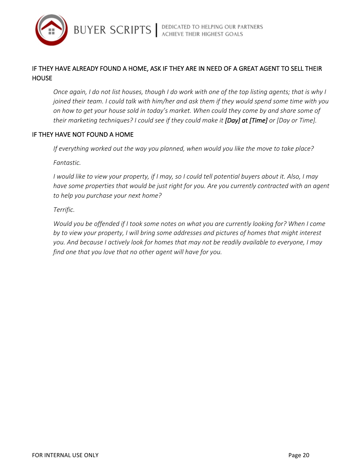

# IF THEY HAVE ALREADY FOUND A HOME, ASK IF THEY ARE IN NEED OF A GREAT AGENT TO SELL THEIR **HOUSE**

*Once again, I* do not list houses, though I do work with one of the top listing agents; that is why I *joined their team.* I could talk with him/her and ask them if they would spend some time with you on how to get your house sold in today's market. When could they come by and share some of their marketing techniques? I could see if they could make it [Day] at [Time] or [Day or Time].

## IF THEY HAVE NOT FOUND A HOME

*If* everything worked out the way you planned, when would you like the move to take place?

*Fantastic.*

*I* would like to view your property, if I may, so I could tell potential buyers about it. Also, I may have some properties that would be just right for you. Are you currently contracted with an agent to *help* you purchase your next home?

*Terrific.*

*Would you be offended if I took some notes on what you are currently looking for? When I come* by to view your property, I will bring some addresses and pictures of homes that might interest you. And because I actively look for homes that may not be readily available to everyone, I may *find one that you love that no other agent will have for you.*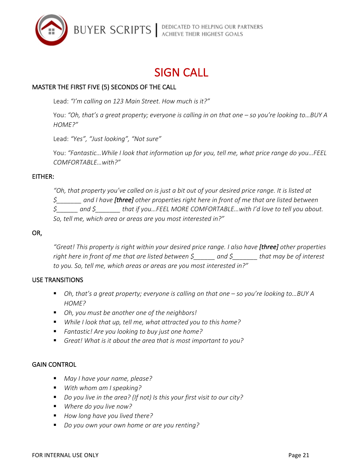

# **SIGN CALL**

# MASTER THE FIRST FIVE (5) SECONDS OF THE CALL

Lead: "I'm calling on 123 Main Street. How much is it?"

You: "Oh, that's a great property; everyone is calling in on that one – so you're looking to...BUY A *HOME?"*

Lead: "Yes", "Just looking", "Not sure"

You: "Fantastic... While I look that information up for you, tell me, what price range do you...FEEL *COMFORTABLE…with?"*

#### EITHER:

*"Oh, that property you've called on is just a bit out of your desired price range. It is listed at \$\_\_\_\_\_\_\_ and I have [three] other properties right here in front of me that are listed between*   $\zeta$  and  $\zeta$  that if you...FEEL MORE COMFORTABLE...with I'd love to tell you about. So, tell me, which area or areas are you most interested in?"

#### OR,

"Great! This property is right within your desired price range. I also have [three] other properties right here in front of me that are listed between  $\zeta$  and  $\zeta$  that may be of interest to you. So, tell me, which areas or areas are you most interested in?"

#### USE TRANSITIONS

- Oh, that's a great property; everyone is calling on that one so you're looking to...BUY A *HOME?*
- Oh, you must be another one of the neighbors!
- *While I look that up, tell me, what attracted you to this home?*
- *Fantastic!* Are you looking to buy just one home?
- Great! What is it about the area that is most important to you?

#### **GAIN CONTROL**

- *May I have your name, please?*
- *With* whom am I speaking?
- *Do you live in the area?* (If not) Is this your first visit to our city?
- *Where do you live now?*
- How long have you lived there?
- *Do you own your own home or are you renting?*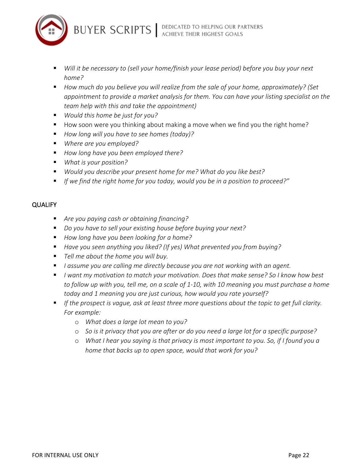



- *Will it be necessary to (sell your home/finish your lease period) before you buy your next home?*
- How much do you believe you will realize from the sale of your home, approximately? (Set *appointment to provide a market analysis for them. You can have your listing specialist on the team help with this and take the appointment)*
- *Would this home be just for you?*
- How soon were you thinking about making a move when we find you the right home?
- *How long will you have to see homes (today)?*
- *Where are you employed?*
- *How long have you been employed there?*
- *What is your position?*
- *Would you describe your present home for me? What do you like best?*
- If we find the right home for you today, would you be in a position to proceed?"

### QUALIFY

- Are you paying cash or obtaining financing?
- *Do you have to sell your existing house before buying your next?*
- How long have you been looking for a home?
- Have you seen anything you liked? (If yes) What prevented you from buying?
- Tell me about the home you will buy.
- *I* assume you are calling me directly because you are not working with an agent.
- *I* want my motivation to match your motivation. Does that make sense? So I know how best to follow up with you, tell me, on a scale of 1-10, with 10 meaning you must purchase a home today and 1 meaning you are just curious, how would you rate yourself?
- If the prospect is vague, ask at least three more questions about the topic to get full clarity. For example:
	- o *What does a large lot mean to you?*
	- $\circ$  *So is it privacy that you are after or do you need a large lot for a specific purpose?*
	- $\circ$  *What I hear you saying is that privacy is most important to you. So, if I found you a home that backs up to open space, would that work for you?*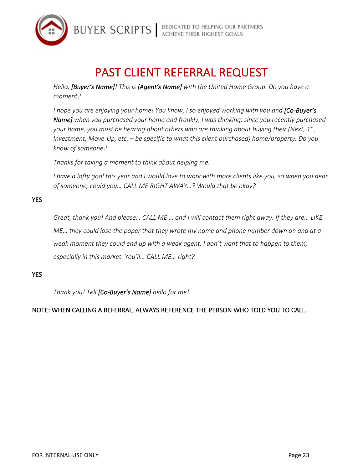

# PAST CLIENT REFERRAL REQUEST

*Hello, [Buyer's Name]! This is [Agent's Name] with the United Home Group. Do you have a moment?*

*I* hope you are enjoying your home! You know, I so enjoyed working with you and [Co-Buyer's **Name]** when you purchased your home and frankly, I was thinking, since you recently purchased *your home, you must be hearing about others who are thinking about buying their (Next, 1<sup>st</sup>, Investment, Move-Up, etc.* – *be specific to what this client purchased*) home/property. Do you *know of someone?*

*Thanks for taking a moment to think about helping me.* 

I have a lofty goal this year and I would love to work with more clients like you, so when you hear of someone, could you... CALL ME RIGHT AWAY...? Would that be okay?

# YES

Great, thank you! And please... CALL ME ... and I will contact them right away. If they are... LIKE *ME...* they could lose the paper that they wrote my name and phone number down on and at a weak moment they could end up with a weak agent. I don't want that to happen to them, especially in this market. You'll... CALL ME... right?

## **YES**

*Thank you! Tell [Co-Buyer's Name] hello for me!*

## NOTE: WHEN CALLING A REFERRAL, ALWAYS REFERENCE THE PERSON WHO TOLD YOU TO CALL.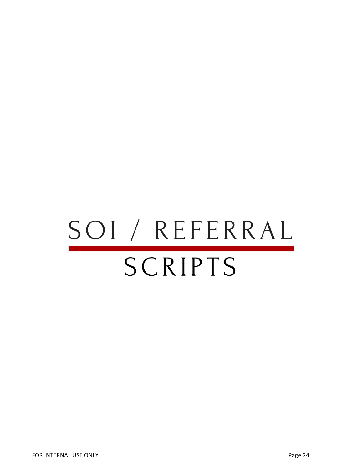# SOI / REFERRAL SCRIPTS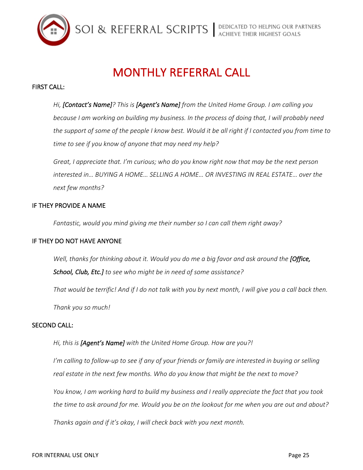

# **MONTHLY REFERRAL CALL**

#### **FIRST CALL:**

Hi, *[Contact's Name]?* This is *[Agent's Name]* from the United Home Group. I am calling you *because I am working on building my business. In the process of doing that, I will probably need the support of some of the people I know best. Would it be all right if I contacted you from time to* time to see if you know of anyone that may need my help?

Great, I appreciate that. I'm curious; who do you know right now that may be the next person *interested in… <code>BUYING</code> A HOME… SELLING A HOME… OR INVESTING IN REAL ESTATE… over the next few months?*

#### IF THEY PROVIDE A NAME

Fantastic, would you mind giving me their number so I can call them right away?

#### IF THEY DO NOT HAVE ANYONE

*Well, thanks for thinking about it. Would you do me a big favor and ask around the [Office,*  $\overline{C}$ **School, Club, Etc.]** to see who might be in need of some assistance?

*That* would be terrific! And if I do not talk with you by next month, I will give you a call back then.

Thank you so much!

#### **SECOND CALL:**

Hi, this is [Agent's Name] with the United Home Group. How are you?!

I'm calling to follow-up to see if any of your friends or family are interested in buying or selling real estate in the next few months. Who do you know that might be the next to move?

You know, I am working hard to build my business and I really appreciate the fact that you took the time to ask around for me. Would you be on the lookout for me when you are out and about?

*Thanks again and if it's okay, I will check back with you next month.*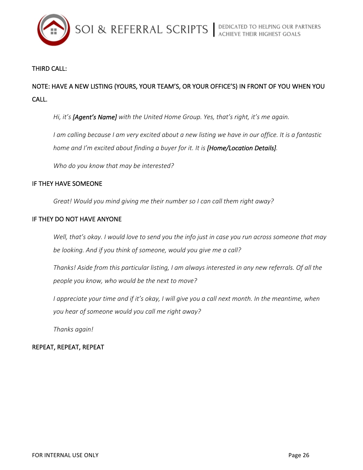

# **THIRD CALL:**

# NOTE: HAVE A NEW LISTING (YOURS, YOUR TEAM'S, OR YOUR OFFICE'S) IN FRONT OF YOU WHEN YOU CALL.

Hi, it's [Agent's Name] with the United Home Group. Yes, that's right, it's me again.

I am calling because I am very excited about a new listing we have in our office. It is a fantastic home and I'm excited about finding a buyer for it. It is [Home/Location Details].

Who do you know that may be interested?

# IF THEY HAVE SOMEONE

Great! Would you mind giving me their number so I can call them right away?

## IF THEY DO NOT HAVE ANYONE

*Well, that's* okay. I would love to send you the info just in case you run across someone that may be looking. And if you think of someone, would you give me a call?

Thanks! Aside from this particular listing, I am always interested in any new referrals. Of all the people you know, who would be the next to move?

I appreciate your time and if it's okay, I will give you a call next month. In the meantime, when *you hear of someone would you call me right away?*

*Thanks again!*

# REPEAT, REPEAT, REPEAT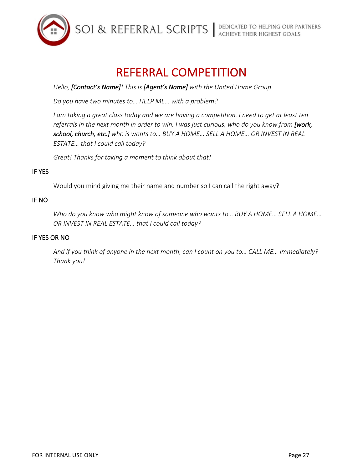

# REFERRAL COMPETITION

Hello, [Contact's Name]! This is [Agent's Name] with the United Home Group.

Do you have two minutes to... HELP ME... with a problem?

*I* am taking a great class today and we are having a competition. I need to get at least ten *referrals* in the next month in order to win. I was just curious, who do you know from [work, school, church, etc.] who is wants to... BUY A HOME... SELL A HOME... OR INVEST IN REAL *ESTATE… that I could call today?*

Great! Thanks for taking a moment to think about that!

# **IF YES**

Would you mind giving me their name and number so I can call the right away?

# IF NO

*Who do you know who might know of someone who wants to... BUY A HOME... SELL A HOME...* OR INVEST IN REAL ESTATE... that I could call today?

# **IF YES OR NO**

And if you think of anyone in the next month, can I count on you to... CALL ME... immediately? *Thank you!*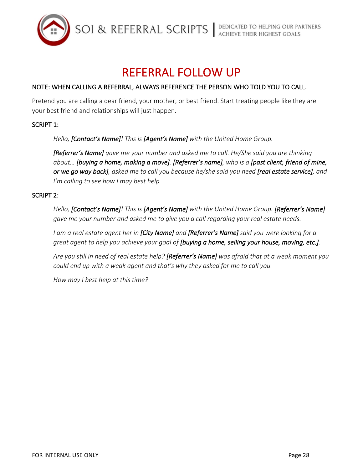

# **REFERRAL FOLLOW UP**

# NOTE: WHEN CALLING A REFERRAL, ALWAYS REFERENCE THE PERSON WHO TOLD YOU TO CALL.

Pretend you are calling a dear friend, your mother, or best friend. Start treating people like they are your best friend and relationships will just happen.

## SCRIPT 1:

Hello, **[Contact's Name]**! This is **[Agent's Name]** with the United Home Group.

**[Referrer's Name]** gave me your number and asked me to call. He/She said you are thinking *about...* [buying a home, making a move]. [Referrer's name], who is a [past client, friend of mine, or we go way back], asked me to call you because he/she said you need [real estate service], and *I'm* calling to see how I may best help.

### SCRIPT 2:

Hello, [Contact's Name]! This is [Agent's Name] with the United Home Group. [Referrer's Name] *gave* me your number and asked me to give you a call regarding your real estate needs.

*I* am a real estate agent her in **[City Name]** and **[Referrer's Name]** said you were looking for a great agent to help you achieve your goal of [buying a home, selling your house, moving, etc.].

Are you still in need of real estate help? [Referrer's Name] was afraid that at a weak moment you *could end up* with a weak agent and that's why they asked for me to call you.

*How may I best help at this time?*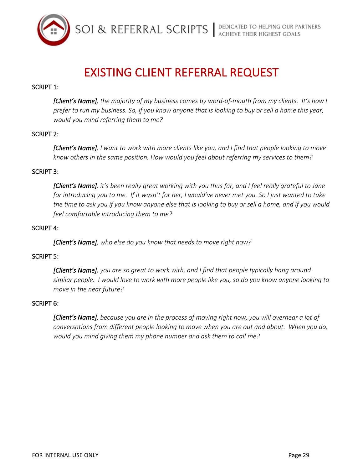

# **EXISTING CLIENT REFERRAL REQUEST**

### SCRIPT 1:

*[Client's Name], the majority of my business comes by word-of-mouth from my clients.* It's how I prefer to run my business. So, if you know anyone that is looking to buy or sell a home this year, *would you mind referring them to me?*

### SCRIPT 2:

*[Client's Name], I* want to work with more clients like you, and I find that people looking to move know others in the same position. How would you feel about referring my services to them?

#### SCRIPT 3:

*[Client's Name], it's been really great working with you thus far, and I feel really grateful to Jane for introducing you to me. If it wasn't for her, I would've never met you. So I just wanted to take* the time to ask you if you know anyone else that is looking to buy or sell a home, and if you would *feel comfortable introducing them to me?* 

#### **SCRIPT 4:**

**[Client's Name]**, who else do you know that needs to move right now?

#### **SCRIPT 5:**

*[Client's Name], you are so great to work with, and I find that people typically hang around* similar people. I would love to work with more people like you, so do you know anyone looking to *move in the near future?* 

#### **SCRIPT 6:**

**[Client's Name]**, because you are in the process of moving right now, you will overhear a lot of *conversations from different people looking to move when you are out and about.* When you do, *would you mind giving them my phone number and ask them to call me?*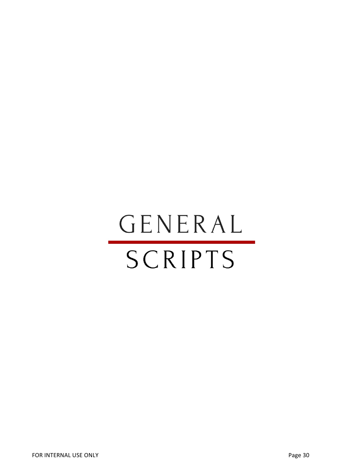# GENERAL SCRIPTS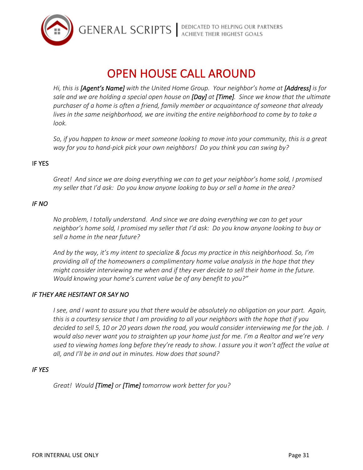

# OPEN HOUSE CALL AROUND

Hi, this is [Agent's Name] with the United Home Group. Your neighbor's home at [Address] is for *sale and we are holding a special open house on [Day] at [Time]. Since we know that the ultimate* purchaser of a home is often a friend, family member or acquaintance of someone that already *lives* in the same neighborhood, we are inviting the entire neighborhood to come by to take a *look.*

So, if you happen to know or meet someone looking to move into your community, this is a great *way* for you to hand-pick pick your own neighbors! Do you think you can swing by?

### **IF YES**

Great! And since we are doing everything we can to get your neighbor's home sold, I promised *my* seller that I'd ask: Do you know anyone looking to buy or sell a home in the area?

#### *IF NO*

*No* problem, I totally understand. And since we are doing everything we can to get your neighbor's home sold, I promised my seller that I'd ask: Do you know anyone looking to buy or sell a home in the near future?

And by the way, it's my intent to specialize & focus my practice in this neighborhood. So, I'm providing all of the homeowners a complimentary home value analysis in the hope that they *might consider interviewing me when and if they ever decide to sell their home in the future. Would knowing your home's current value be of any benefit to you?"* 

#### **IF THEY ARE HESITANT OR SAY NO**

*I* see, and I want to assure you that there would be absolutely no obligation on your part. Again, *this* is a courtesy service that I am providing to all your neighbors with the hope that if you *decided* to sell 5, 10 or 20 years down the road, you would consider interviewing me for the job. I *would also never want you to straighten up your home just for me. I'm a Realtor and we're very* used to viewing homes long before they're ready to show. I assure you it won't affect the value at all, and I'll be in and out in minutes. How does that sound?

#### *IF YES*

Great! Would **[Time]** or **[Time]** tomorrow work better for you?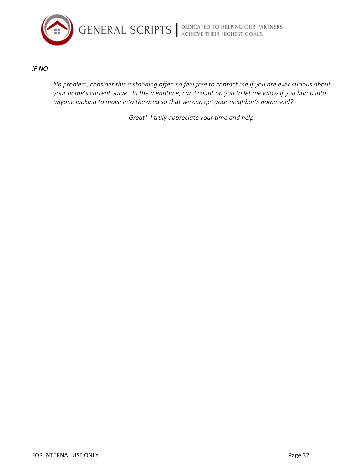

### *IF NO*

*No problem, consider this a standing offer, so feel free to contact me if you are ever curious about* your home's current value. In the meantime, can I count on you to let me know if you bump into anyone looking to move into the area so that we can get your neighbor's home sold?

Great! I truly appreciate your time and help.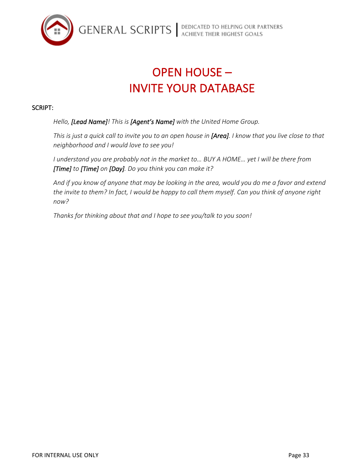

# **OPEN HOUSE -INVITE YOUR DATABASE**

## SCRIPT:

Hello, [Lead Name]! This is [Agent's Name] with the United Home Group.

*This* is just a quick call to invite you to an open house in [Area]. I know that you live close to that *neighborhood and I would love to see you!* 

*I* understand you are probably not in the market to... BUY A HOME... yet I will be there from *[Time]* to *[Time]* on *[Day]*. Do you think you can make it?

And if you know of anyone that may be looking in the area, would you do me a favor and extend the invite to them? In fact, I would be happy to call them myself. Can you think of anyone right *now?* 

Thanks for thinking about that and I hope to see you/talk to you soon!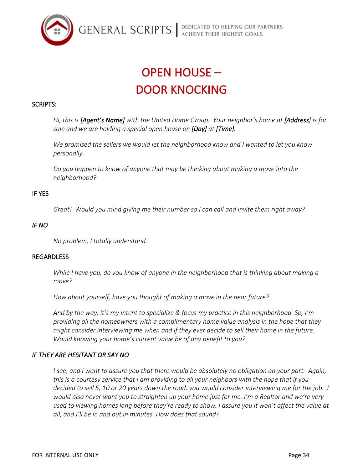

# OPEN HOUSE – DOOR KNOCKING

#### SCRIPTS:

Hi, this is [Agent's Name] with the United Home Group. Your neighbor's home at [Address] is for *sale and we are holding a special open house on [Day] at [Time].* 

We promised the sellers we would let the neighborhood know and I wanted to let you know *personally.* 

Do you happen to know of anyone that may be thinking about making a move into the *neighborhood?*

#### **IF YES**

*Great!* Would you mind giving me their number so I can call and invite them right away?

#### *IF NO*

*No problem, I totally understand.*

#### REGARDLESS

*While I* have you, do you know of anyone in the neighborhood that is thinking about making a *move?*

How about yourself, have you thought of making a move in the near future?

And by the way, it's my intent to specialize & focus my practice in this neighborhood. So, I'm providing all the homeowners with a complimentary home value analysis in the hope that they *might consider interviewing me when and if they ever decide to sell their home in the future. Would knowing your home's current value be of any benefit to you?* 

#### **IF THEY ARE HESITANT OR SAY NO**

*I* see, and I want to assure you that there would be absolutely no obligation on your part. Again, *this* is a courtesy service that I am providing to all your neighbors with the hope that if you *decided to sell 5, 10 or 20 years down the road, you would consider interviewing me for the job. I* would also never want you to straighten up your home just for me. I'm a Realtor and we're very used to viewing homes long before they're ready to show. I assure you it won't affect the value at all, and I'll be in and out in minutes. How does that sound?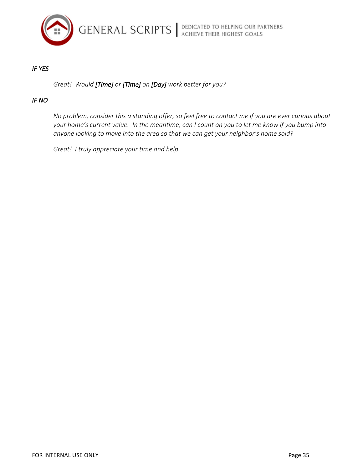

### *IF YES*

*Great! Would [Time] or [Time] on [Day] work better for you?* 

#### *IF NO*

*No problem, consider this a standing offer, so feel free to contact me if you are ever curious about your* home's current value. In the meantime, can I count on you to let me know if you bump into anyone looking to move into the area so that we can get your neighbor's home sold?

Great! I truly appreciate your time and help.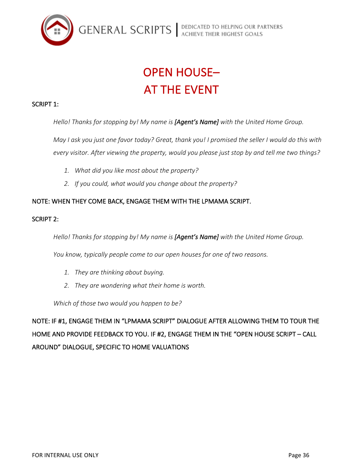

# **OPEN HOUSE-AT THE EVENT**

# SCRIPT 1:

Hello! Thanks for stopping by! My name is [Agent's Name] with the United Home Group.

*May I ask you just one favor today? Great, thank you! I promised the seller I would do this with* every visitor. After viewing the property, would you please just stop by and tell me two things?

- 1. What did you like most about the property?
- 2. If you could, what would you change about the property?

# NOTE: WHEN THEY COME BACK, ENGAGE THEM WITH THE LPMAMA SCRIPT.

## SCRIPT 2:

*Hello!* Thanks for stopping by! My name is **[Agent's Name]** with the United Home Group.

*You know, typically people come to our open houses for one of two reasons.* 

- 1. *They are thinking about buying.*
- 2. They are wondering what their home is worth.

Which of those two would you happen to be?

NOTE: IF #1, ENGAGE THEM IN "LPMAMA SCRIPT" DIALOGUE AFTER ALLOWING THEM TO TOUR THE HOME AND PROVIDE FEEDBACK TO YOU. IF #2, ENGAGE THEM IN THE "OPEN HOUSE SCRIPT - CALL AROUND" DIALOGUE, SPECIFIC TO HOME VALUATIONS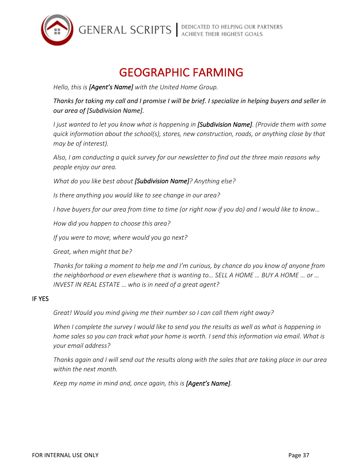

# **GEOGRAPHIC FARMING**

Hello, this is [Agent's Name] with the United Home Group.

Thanks for taking my call and I promise I will be brief. I specialize in helping buyers and seller in *our area of [Subdivision Name].*

*I* just wanted to let you know what is happening in **[Subdivision Name]**. (Provide them with some *quick* information about the school(s), stores, new construction, roads, or anything close by that *may be of interest).*

Also, I am conducting a quick survey for our newsletter to find out the three main reasons why *people enjoy our area.*

*What do you like best about [Subdivision Name]? Anything else?* 

*Is* there anything you would like to see change in our area?

*I* have buyers for our area from time to time (or right now if you do) and I would like to know...

*How did you happen to choose this area?*

If you were to move, where would you go next?

*Great, when might that be?*

Thanks for taking a moment to help me and I'm curious, by chance do you know of anyone from *the neighborhood or even elsewhere that is wanting to... SELL A HOME ... BUY A HOME ... or ... INVEST IN REAL ESTATE* ... who is in need of a great agent?

#### **IF YES**

Great! Would you mind giving me their number so I can call them right away?

*When* I complete the survey I would like to send you the results as well as what is happening in *home sales so you can track what your home is worth.* I send this information via email. What is *your email address?* 

*Thanks again and I will send out the results along with the sales that are taking place in our area* within the next month.

*Keep* my name in mind and, once again, this is **[Agent's Name]**.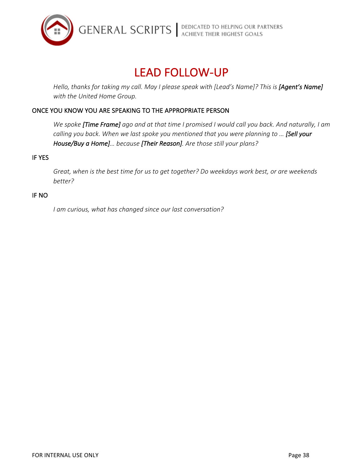

# LEAD FOLLOW-UP

*Hello, thanks for taking my call. May I please speak with [Lead's Name]? This is [Agent's Name]* with the United Home Group.

# ONCE YOU KNOW YOU ARE SPEAKING TO THE APPROPRIATE PERSON

We spoke [Time Frame] ago and at that time I promised I would call you back. And naturally, I am calling you back. When we last spoke you mentioned that you were planning to ... [Sell your House/Buy a Home]... because [Their Reason]. Are those still your plans?

### **IF YES**

Great, when is the best time for us to get together? Do weekdays work best, or are weekends *better?*

#### IF NO

*I* am curious, what has changed since our last conversation?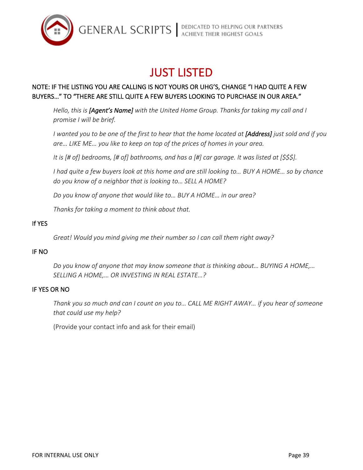

# **JUST LISTED**

# NOTE: IF THE LISTING YOU ARE CALLING IS NOT YOURS OR UHG'S, CHANGE "I HAD QUITE A FEW BUYERS..." TO "THERE ARE STILL QUITE A FEW BUYERS LOOKING TO PURCHASE IN OUR AREA."

Hello, this is [Agent's Name] with the United Home Group. Thanks for taking my call and I *promise I will be brief.*

*I* wanted you to be one of the first to hear that the home located at [Address] just sold and if you are... LIKE ME... you like to keep on top of the prices of homes in your area.

*It is* [# of] bedrooms, [# of] bathrooms, and has a [#] car garage. It was listed at [\$\$\$].

*I* had quite a few buyers look at this home and are still looking to... BUY A HOME... so by chance do you know of a neighbor that is looking to... SELL A HOME?

Do you know of anyone that would like to... BUY A HOME... in our area?

*Thanks for taking a moment to think about that.* 

# **If YES**

Great! Would you mind giving me their number so I can call them right away?

## IF NO

Do you know of anyone that may know someone that is thinking about... BUYING A HOME,... *SELLING A HOME,… OR INVESTING IN REAL ESTATE…?*

## **IF YES OR NO**

Thank you so much and can I count on you to... CALL ME RIGHT AWAY... if you hear of someone that could use my help?

(Provide your contact info and ask for their email)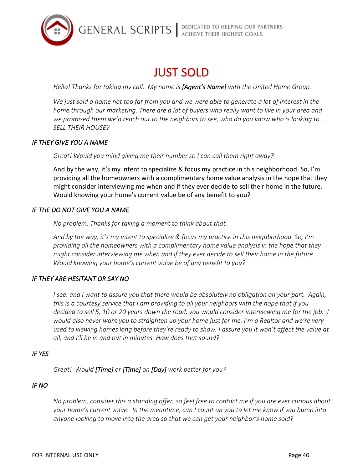**GENERAL SCRIPTS** ACHIEVE THEIR HIGHEST GOALS



# **JUST SOLD**

*Hello!* Thanks for taking my call. My name is [Agent's Name] with the United Home Group.

*We just sold a home not too far from you and we were able to generate a lot of interest in the home through our marketing. There are a lot of buyers who really want to live in your area and* we promised them we'd reach out to the neighbors to see, who do you know who is looking to... *SELL THEIR HOUSE?* 

## **IF THEY GIVE YOU A NAME**

Great! Would you mind giving me their number so I can call them right away?

And by the way, it's my intent to specialize & focus my practice in this neighborhood. So, I'm providing all the homeowners with a complimentary home value analysis in the hope that they might consider interviewing me when and if they ever decide to sell their home in the future. Would knowing your home's current value be of any benefit to you?

# **IF THE DO NOT GIVE YOU A NAME**

*No problem.* Thanks for taking a moment to think about that.

And by the way, it's my intent to specialize & focus my practice in this neighborhood. So, I'm providing all the homeowners with a complimentary home value analysis in the hope that they *might consider interviewing me when and if they ever decide to sell their home in the future. Would knowing your home's current value be of any benefit to you?* 

# **IF THEY ARE HESITANT OR SAY NO**

*I* see, and I want to assure you that there would be absolutely no obligation on your part. Again, *this* is a courtesy service that I am providing to all your neighbors with the hope that if you *decided* to sell 5, 10 or 20 years down the road, you would consider interviewing me for the job. I *would also never want you to straighten up your home just for me. I'm a Realtor and we're very* used to viewing homes long before they're ready to show. I assure you it won't affect the value at all, and I'll be in and out in minutes. How does that sound?

## *IF YES*

*Great! Would [Time] or [Time] on [Day] work better for you?*

# *IF NO*

No problem, consider this a standing offer, so feel free to contact me if you are ever curious about *your* home's current value. In the meantime, can I count on you to let me know if you bump into anyone *looking* to move into the area so that we can get your neighbor's home sold?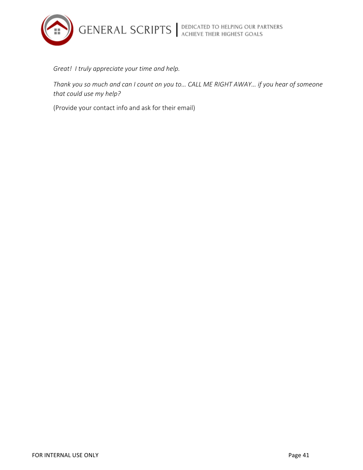**GENERAL SCRIPTS** ACHIEVE THEIR HIGHEST GOALS



Great! I truly appreciate your time and help.

Thank you so much and can I count on you to... CALL ME RIGHT AWAY... if you hear of someone that could use my help?

(Provide your contact info and ask for their email)